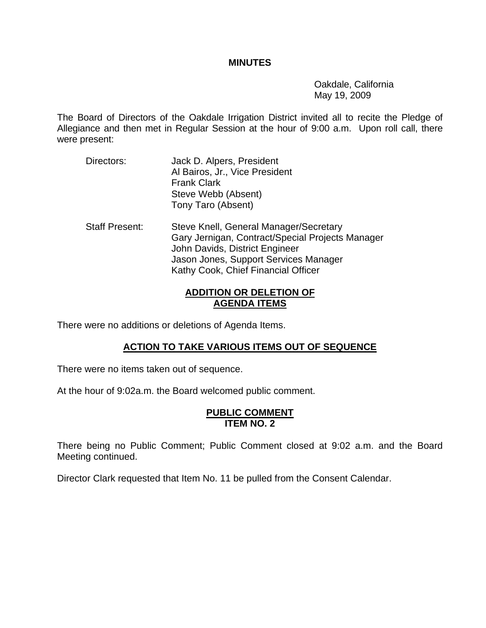#### **MINUTES**

 Oakdale, California May 19, 2009

The Board of Directors of the Oakdale Irrigation District invited all to recite the Pledge of Allegiance and then met in Regular Session at the hour of 9:00 a.m. Upon roll call, there were present:

Directors: Jack D. Alpers, President Al Bairos, Jr., Vice President Frank Clark Steve Webb (Absent) Tony Taro (Absent) Staff Present: Steve Knell, General Manager/Secretary Gary Jernigan, Contract/Special Projects Manager John Davids, District Engineer Jason Jones, Support Services Manager Kathy Cook, Chief Financial Officer

## **ADDITION OR DELETION OF AGENDA ITEMS**

There were no additions or deletions of Agenda Items.

## **ACTION TO TAKE VARIOUS ITEMS OUT OF SEQUENCE**

There were no items taken out of sequence.

At the hour of 9:02a.m. the Board welcomed public comment.

#### **PUBLIC COMMENT ITEM NO. 2**

There being no Public Comment; Public Comment closed at 9:02 a.m. and the Board Meeting continued.

Director Clark requested that Item No. 11 be pulled from the Consent Calendar.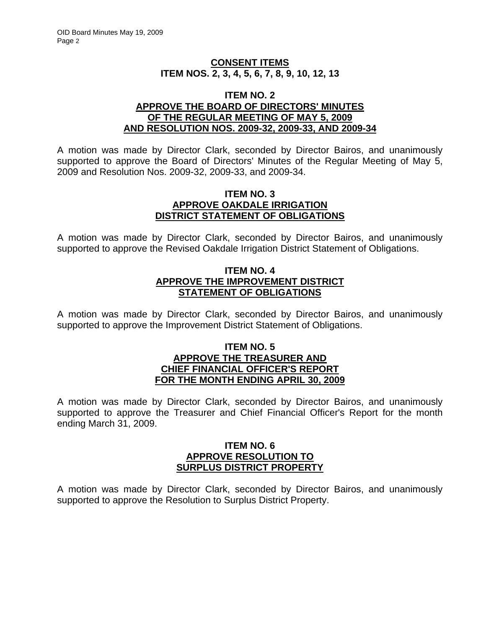## **CONSENT ITEMS ITEM NOS. 2, 3, 4, 5, 6, 7, 8, 9, 10, 12, 13**

#### **ITEM NO. 2 APPROVE THE BOARD OF DIRECTORS' MINUTES OF THE REGULAR MEETING OF MAY 5, 2009 AND RESOLUTION NOS. 2009-32, 2009-33, AND 2009-34**

A motion was made by Director Clark, seconded by Director Bairos, and unanimously supported to approve the Board of Directors' Minutes of the Regular Meeting of May 5, 2009 and Resolution Nos. 2009-32, 2009-33, and 2009-34.

### **ITEM NO. 3 APPROVE OAKDALE IRRIGATION DISTRICT STATEMENT OF OBLIGATIONS**

A motion was made by Director Clark, seconded by Director Bairos, and unanimously supported to approve the Revised Oakdale Irrigation District Statement of Obligations.

## **ITEM NO. 4 APPROVE THE IMPROVEMENT DISTRICT STATEMENT OF OBLIGATIONS**

A motion was made by Director Clark, seconded by Director Bairos, and unanimously supported to approve the Improvement District Statement of Obligations.

#### **ITEM NO. 5 APPROVE THE TREASURER AND CHIEF FINANCIAL OFFICER'S REPORT FOR THE MONTH ENDING APRIL 30, 2009**

A motion was made by Director Clark, seconded by Director Bairos, and unanimously supported to approve the Treasurer and Chief Financial Officer's Report for the month ending March 31, 2009.

## **ITEM NO. 6 APPROVE RESOLUTION TO SURPLUS DISTRICT PROPERTY**

A motion was made by Director Clark, seconded by Director Bairos, and unanimously supported to approve the Resolution to Surplus District Property.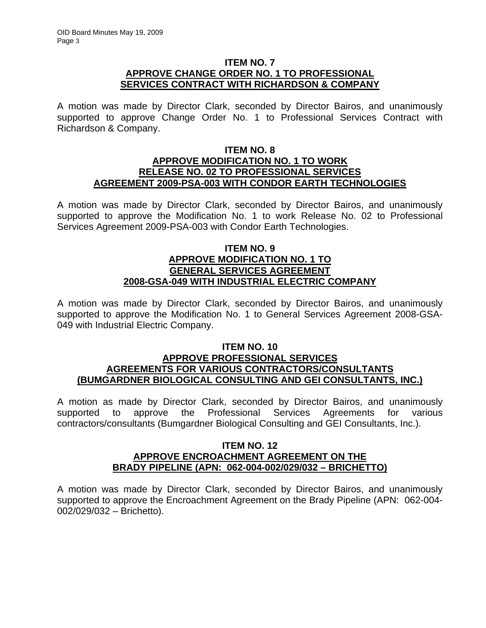## **ITEM NO. 7 APPROVE CHANGE ORDER NO. 1 TO PROFESSIONAL SERVICES CONTRACT WITH RICHARDSON & COMPANY**

A motion was made by Director Clark, seconded by Director Bairos, and unanimously supported to approve Change Order No. 1 to Professional Services Contract with Richardson & Company.

#### **ITEM NO. 8 APPROVE MODIFICATION NO. 1 TO WORK RELEASE NO. 02 TO PROFESSIONAL SERVICES AGREEMENT 2009-PSA-003 WITH CONDOR EARTH TECHNOLOGIES**

A motion was made by Director Clark, seconded by Director Bairos, and unanimously supported to approve the Modification No. 1 to work Release No. 02 to Professional Services Agreement 2009-PSA-003 with Condor Earth Technologies.

## **ITEM NO. 9 APPROVE MODIFICATION NO. 1 TO GENERAL SERVICES AGREEMENT 2008-GSA-049 WITH INDUSTRIAL ELECTRIC COMPANY**

A motion was made by Director Clark, seconded by Director Bairos, and unanimously supported to approve the Modification No. 1 to General Services Agreement 2008-GSA-049 with Industrial Electric Company.

#### **ITEM NO. 10 APPROVE PROFESSIONAL SERVICES AGREEMENTS FOR VARIOUS CONTRACTORS/CONSULTANTS (BUMGARDNER BIOLOGICAL CONSULTING AND GEI CONSULTANTS, INC.)**

A motion as made by Director Clark, seconded by Director Bairos, and unanimously supported to approve the Professional Services Agreements for various contractors/consultants (Bumgardner Biological Consulting and GEI Consultants, Inc.).

### **ITEM NO. 12 APPROVE ENCROACHMENT AGREEMENT ON THE BRADY PIPELINE (APN: 062-004-002/029/032 – BRICHETTO)**

A motion was made by Director Clark, seconded by Director Bairos, and unanimously supported to approve the Encroachment Agreement on the Brady Pipeline (APN: 062-004- 002/029/032 – Brichetto).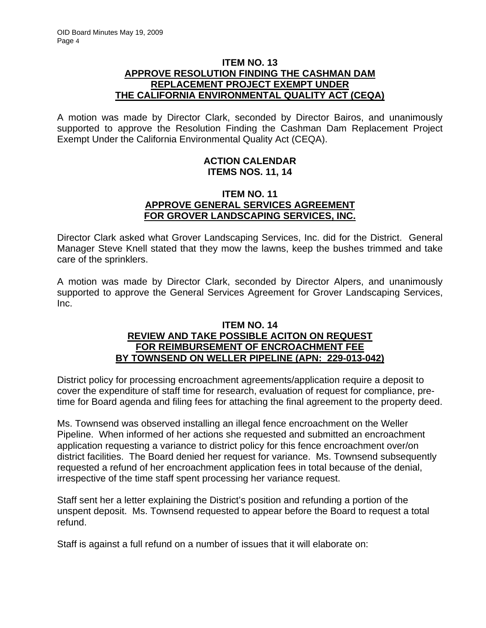## **ITEM NO. 13 APPROVE RESOLUTION FINDING THE CASHMAN DAM REPLACEMENT PROJECT EXEMPT UNDER THE CALIFORNIA ENVIRONMENTAL QUALITY ACT (CEQA)**

A motion was made by Director Clark, seconded by Director Bairos, and unanimously supported to approve the Resolution Finding the Cashman Dam Replacement Project Exempt Under the California Environmental Quality Act (CEQA).

## **ACTION CALENDAR ITEMS NOS. 11, 14**

## **ITEM NO. 11 APPROVE GENERAL SERVICES AGREEMENT FOR GROVER LANDSCAPING SERVICES, INC.**

Director Clark asked what Grover Landscaping Services, Inc. did for the District. General Manager Steve Knell stated that they mow the lawns, keep the bushes trimmed and take care of the sprinklers.

A motion was made by Director Clark, seconded by Director Alpers, and unanimously supported to approve the General Services Agreement for Grover Landscaping Services, Inc.

## **ITEM NO. 14 REVIEW AND TAKE POSSIBLE ACITON ON REQUEST FOR REIMBURSEMENT OF ENCROACHMENT FEE BY TOWNSEND ON WELLER PIPELINE (APN: 229-013-042)**

District policy for processing encroachment agreements/application require a deposit to cover the expenditure of staff time for research, evaluation of request for compliance, pretime for Board agenda and filing fees for attaching the final agreement to the property deed.

Ms. Townsend was observed installing an illegal fence encroachment on the Weller Pipeline. When informed of her actions she requested and submitted an encroachment application requesting a variance to district policy for this fence encroachment over/on district facilities. The Board denied her request for variance. Ms. Townsend subsequently requested a refund of her encroachment application fees in total because of the denial, irrespective of the time staff spent processing her variance request.

Staff sent her a letter explaining the District's position and refunding a portion of the unspent deposit. Ms. Townsend requested to appear before the Board to request a total refund.

Staff is against a full refund on a number of issues that it will elaborate on: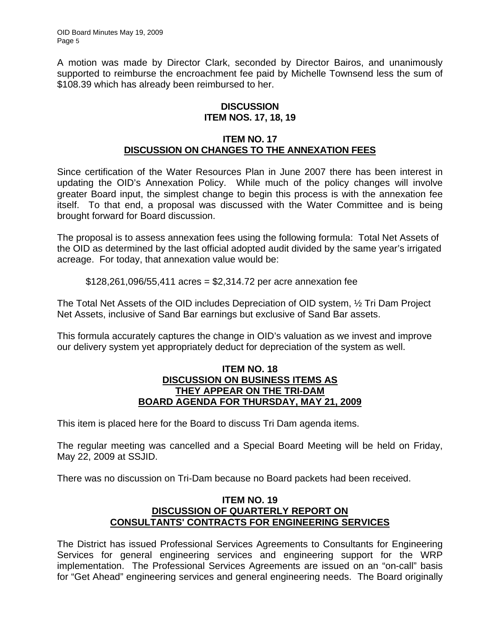A motion was made by Director Clark, seconded by Director Bairos, and unanimously supported to reimburse the encroachment fee paid by Michelle Townsend less the sum of \$108.39 which has already been reimbursed to her.

## **DISCUSSION ITEM NOS. 17, 18, 19**

## **ITEM NO. 17 DISCUSSION ON CHANGES TO THE ANNEXATION FEES**

Since certification of the Water Resources Plan in June 2007 there has been interest in updating the OID's Annexation Policy. While much of the policy changes will involve greater Board input, the simplest change to begin this process is with the annexation fee itself. To that end, a proposal was discussed with the Water Committee and is being brought forward for Board discussion.

The proposal is to assess annexation fees using the following formula: Total Net Assets of the OID as determined by the last official adopted audit divided by the same year's irrigated acreage. For today, that annexation value would be:

\$128,261,096/55,411 acres = \$2,314.72 per acre annexation fee

The Total Net Assets of the OID includes Depreciation of OID system, ½ Tri Dam Project Net Assets, inclusive of Sand Bar earnings but exclusive of Sand Bar assets.

This formula accurately captures the change in OID's valuation as we invest and improve our delivery system yet appropriately deduct for depreciation of the system as well.

### **ITEM NO. 18 DISCUSSION ON BUSINESS ITEMS AS THEY APPEAR ON THE TRI-DAM BOARD AGENDA FOR THURSDAY, MAY 21, 2009**

This item is placed here for the Board to discuss Tri Dam agenda items.

The regular meeting was cancelled and a Special Board Meeting will be held on Friday, May 22, 2009 at SSJID.

There was no discussion on Tri-Dam because no Board packets had been received.

## **ITEM NO. 19 DISCUSSION OF QUARTERLY REPORT ON CONSULTANTS' CONTRACTS FOR ENGINEERING SERVICES**

The District has issued Professional Services Agreements to Consultants for Engineering Services for general engineering services and engineering support for the WRP implementation. The Professional Services Agreements are issued on an "on-call" basis for "Get Ahead" engineering services and general engineering needs. The Board originally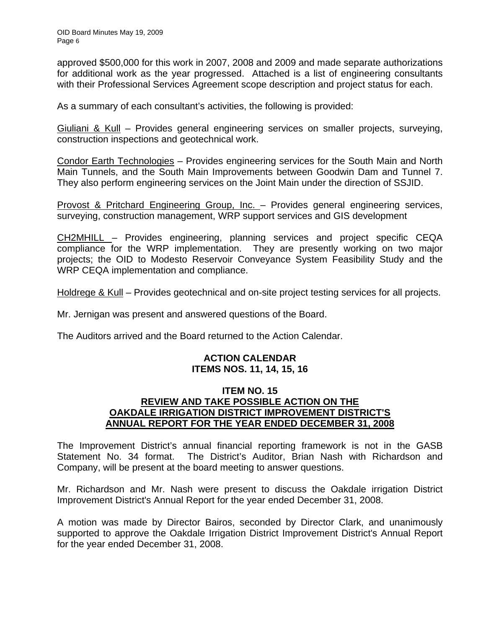approved \$500,000 for this work in 2007, 2008 and 2009 and made separate authorizations for additional work as the year progressed. Attached is a list of engineering consultants with their Professional Services Agreement scope description and project status for each.

As a summary of each consultant's activities, the following is provided:

Giuliani & Kull – Provides general engineering services on smaller projects, surveying, construction inspections and geotechnical work.

Condor Earth Technologies – Provides engineering services for the South Main and North Main Tunnels, and the South Main Improvements between Goodwin Dam and Tunnel 7. They also perform engineering services on the Joint Main under the direction of SSJID.

Provost & Pritchard Engineering Group, Inc. – Provides general engineering services, surveying, construction management, WRP support services and GIS development

CH2MHILL – Provides engineering, planning services and project specific CEQA compliance for the WRP implementation. They are presently working on two major projects; the OID to Modesto Reservoir Conveyance System Feasibility Study and the WRP CEQA implementation and compliance.

Holdrege & Kull – Provides geotechnical and on-site project testing services for all projects.

Mr. Jernigan was present and answered questions of the Board.

The Auditors arrived and the Board returned to the Action Calendar.

#### **ACTION CALENDAR ITEMS NOS. 11, 14, 15, 16**

## **ITEM NO. 15 REVIEW AND TAKE POSSIBLE ACTION ON THE OAKDALE IRRIGATION DISTRICT IMPROVEMENT DISTRICT'S ANNUAL REPORT FOR THE YEAR ENDED DECEMBER 31, 2008**

The Improvement District's annual financial reporting framework is not in the GASB Statement No. 34 format. The District's Auditor, Brian Nash with Richardson and Company, will be present at the board meeting to answer questions.

Mr. Richardson and Mr. Nash were present to discuss the Oakdale irrigation District Improvement District's Annual Report for the year ended December 31, 2008.

A motion was made by Director Bairos, seconded by Director Clark, and unanimously supported to approve the Oakdale Irrigation District Improvement District's Annual Report for the year ended December 31, 2008.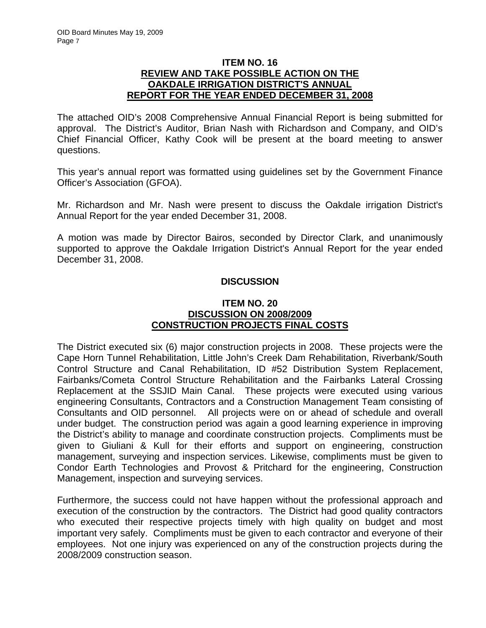## **ITEM NO. 16 REVIEW AND TAKE POSSIBLE ACTION ON THE OAKDALE IRRIGATION DISTRICT'S ANNUAL REPORT FOR THE YEAR ENDED DECEMBER 31, 2008**

The attached OID's 2008 Comprehensive Annual Financial Report is being submitted for approval. The District's Auditor, Brian Nash with Richardson and Company, and OID's Chief Financial Officer, Kathy Cook will be present at the board meeting to answer questions.

This year's annual report was formatted using guidelines set by the Government Finance Officer's Association (GFOA).

Mr. Richardson and Mr. Nash were present to discuss the Oakdale irrigation District's Annual Report for the year ended December 31, 2008.

A motion was made by Director Bairos, seconded by Director Clark, and unanimously supported to approve the Oakdale Irrigation District's Annual Report for the year ended December 31, 2008.

## **DISCUSSION**

## **ITEM NO. 20 DISCUSSION ON 2008/2009 CONSTRUCTION PROJECTS FINAL COSTS**

The District executed six (6) major construction projects in 2008. These projects were the Cape Horn Tunnel Rehabilitation, Little John's Creek Dam Rehabilitation, Riverbank/South Control Structure and Canal Rehabilitation, ID #52 Distribution System Replacement, Fairbanks/Cometa Control Structure Rehabilitation and the Fairbanks Lateral Crossing Replacement at the SSJID Main Canal. These projects were executed using various engineering Consultants, Contractors and a Construction Management Team consisting of Consultants and OID personnel. All projects were on or ahead of schedule and overall under budget. The construction period was again a good learning experience in improving the District's ability to manage and coordinate construction projects. Compliments must be given to Giuliani & Kull for their efforts and support on engineering, construction management, surveying and inspection services. Likewise, compliments must be given to Condor Earth Technologies and Provost & Pritchard for the engineering, Construction Management, inspection and surveying services.

Furthermore, the success could not have happen without the professional approach and execution of the construction by the contractors. The District had good quality contractors who executed their respective projects timely with high quality on budget and most important very safely. Compliments must be given to each contractor and everyone of their employees. Not one injury was experienced on any of the construction projects during the 2008/2009 construction season.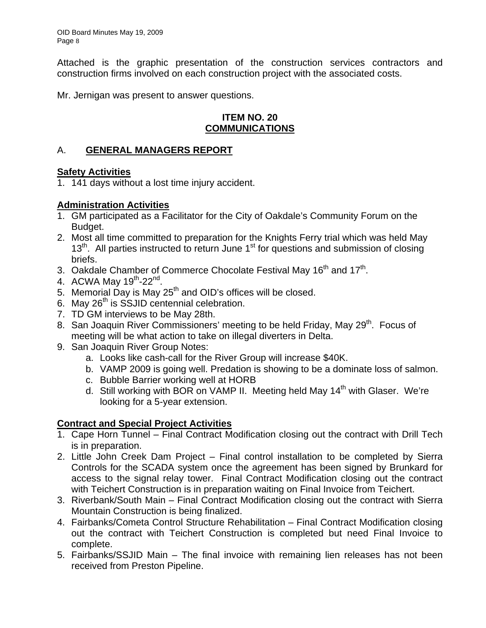Attached is the graphic presentation of the construction services contractors and construction firms involved on each construction project with the associated costs.

Mr. Jernigan was present to answer questions.

## **ITEM NO. 20 COMMUNICATIONS**

## A. **GENERAL MANAGERS REPORT**

## **Safety Activities**

1. 141 days without a lost time injury accident.

## **Administration Activities**

- 1. GM participated as a Facilitator for the City of Oakdale's Community Forum on the Budget.
- 2. Most all time committed to preparation for the Knights Ferry trial which was held May  $13<sup>th</sup>$ . All parties instructed to return June 1<sup>st</sup> for questions and submission of closing briefs.
- 3. Oakdale Chamber of Commerce Chocolate Festival May  $16<sup>th</sup>$  and  $17<sup>th</sup>$ .
- 4. ACWA May 19<sup>th</sup>-22<sup>nd</sup>.
- 5. Memorial Day is May  $25<sup>th</sup>$  and OID's offices will be closed.
- 6. May  $26<sup>th</sup>$  is SSJID centennial celebration.
- 7. TD GM interviews to be May 28th.
- 8. San Joaquin River Commissioners' meeting to be held Friday, May 29<sup>th</sup>. Focus of meeting will be what action to take on illegal diverters in Delta.
- 9. San Joaquin River Group Notes:
	- a. Looks like cash-call for the River Group will increase \$40K.
	- b. VAMP 2009 is going well. Predation is showing to be a dominate loss of salmon.
	- c. Bubble Barrier working well at HORB
	- d. Still working with BOR on VAMP II. Meeting held May 14<sup>th</sup> with Glaser. We're looking for a 5-year extension.

## **Contract and Special Project Activities**

- 1. Cape Horn Tunnel Final Contract Modification closing out the contract with Drill Tech is in preparation.
- 2. Little John Creek Dam Project Final control installation to be completed by Sierra Controls for the SCADA system once the agreement has been signed by Brunkard for access to the signal relay tower. Final Contract Modification closing out the contract with Teichert Construction is in preparation waiting on Final Invoice from Teichert.
- 3. Riverbank/South Main Final Contract Modification closing out the contract with Sierra Mountain Construction is being finalized.
- 4. Fairbanks/Cometa Control Structure Rehabilitation Final Contract Modification closing out the contract with Teichert Construction is completed but need Final Invoice to complete.
- 5. Fairbanks/SSJID Main The final invoice with remaining lien releases has not been received from Preston Pipeline.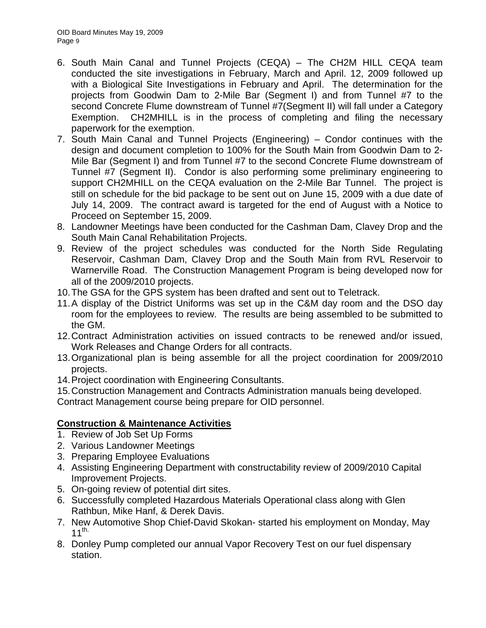- 6. South Main Canal and Tunnel Projects (CEQA) The CH2M HILL CEQA team conducted the site investigations in February, March and April. 12, 2009 followed up with a Biological Site Investigations in February and April. The determination for the projects from Goodwin Dam to 2-Mile Bar (Segment I) and from Tunnel #7 to the second Concrete Flume downstream of Tunnel #7(Segment II) will fall under a Category Exemption. CH2MHILL is in the process of completing and filing the necessary paperwork for the exemption.
- 7. South Main Canal and Tunnel Projects (Engineering) Condor continues with the design and document completion to 100% for the South Main from Goodwin Dam to 2- Mile Bar (Segment I) and from Tunnel #7 to the second Concrete Flume downstream of Tunnel #7 (Segment II). Condor is also performing some preliminary engineering to support CH2MHILL on the CEQA evaluation on the 2-Mile Bar Tunnel. The project is still on schedule for the bid package to be sent out on June 15, 2009 with a due date of July 14, 2009. The contract award is targeted for the end of August with a Notice to Proceed on September 15, 2009.
- 8. Landowner Meetings have been conducted for the Cashman Dam, Clavey Drop and the South Main Canal Rehabilitation Projects.
- 9. Review of the project schedules was conducted for the North Side Regulating Reservoir, Cashman Dam, Clavey Drop and the South Main from RVL Reservoir to Warnerville Road. The Construction Management Program is being developed now for all of the 2009/2010 projects.
- 10. The GSA for the GPS system has been drafted and sent out to Teletrack.
- 11. A display of the District Uniforms was set up in the C&M day room and the DSO day room for the employees to review. The results are being assembled to be submitted to the GM.
- 12. Contract Administration activities on issued contracts to be renewed and/or issued, Work Releases and Change Orders for all contracts.
- 13. Organizational plan is being assemble for all the project coordination for 2009/2010 projects.
- 14. Project coordination with Engineering Consultants.
- 15. Construction Management and Contracts Administration manuals being developed.

Contract Management course being prepare for OID personnel.

## **Construction & Maintenance Activities**

- 1. Review of Job Set Up Forms
- 2. Various Landowner Meetings
- 3. Preparing Employee Evaluations
- 4. Assisting Engineering Department with constructability review of 2009/2010 Capital Improvement Projects.
- 5. On-going review of potential dirt sites.
- 6. Successfully completed Hazardous Materials Operational class along with Glen Rathbun, Mike Hanf, & Derek Davis.
- 7. New Automotive Shop Chief-David Skokan- started his employment on Monday, May 11<sup>th.</sup>
- 8. Donley Pump completed our annual Vapor Recovery Test on our fuel dispensary station.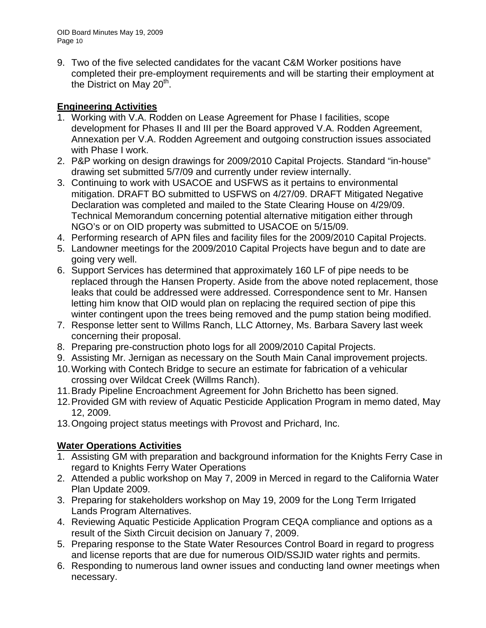9. Two of the five selected candidates for the vacant C&M Worker positions have completed their pre-employment requirements and will be starting their employment at the District on May  $20<sup>th</sup>$ .

# **Engineering Activities**

- 1. Working with V.A. Rodden on Lease Agreement for Phase I facilities, scope development for Phases II and III per the Board approved V.A. Rodden Agreement, Annexation per V.A. Rodden Agreement and outgoing construction issues associated with Phase I work.
- 2. P&P working on design drawings for 2009/2010 Capital Projects. Standard "in-house" drawing set submitted 5/7/09 and currently under review internally.
- 3. Continuing to work with USACOE and USFWS as it pertains to environmental mitigation. DRAFT BO submitted to USFWS on 4/27/09. DRAFT Mitigated Negative Declaration was completed and mailed to the State Clearing House on 4/29/09. Technical Memorandum concerning potential alternative mitigation either through NGO's or on OID property was submitted to USACOE on 5/15/09.
- 4. Performing research of APN files and facility files for the 2009/2010 Capital Projects.
- 5. Landowner meetings for the 2009/2010 Capital Projects have begun and to date are going very well.
- 6. Support Services has determined that approximately 160 LF of pipe needs to be replaced through the Hansen Property. Aside from the above noted replacement, those leaks that could be addressed were addressed. Correspondence sent to Mr. Hansen letting him know that OID would plan on replacing the required section of pipe this winter contingent upon the trees being removed and the pump station being modified.
- 7. Response letter sent to Willms Ranch, LLC Attorney, Ms. Barbara Savery last week concerning their proposal.
- 8. Preparing pre-construction photo logs for all 2009/2010 Capital Projects.
- 9. Assisting Mr. Jernigan as necessary on the South Main Canal improvement projects.
- 10. Working with Contech Bridge to secure an estimate for fabrication of a vehicular crossing over Wildcat Creek (Willms Ranch).
- 11. Brady Pipeline Encroachment Agreement for John Brichetto has been signed.
- 12. Provided GM with review of Aquatic Pesticide Application Program in memo dated, May 12, 2009.
- 13. Ongoing project status meetings with Provost and Prichard, Inc.

# **Water Operations Activities**

- 1. Assisting GM with preparation and background information for the Knights Ferry Case in regard to Knights Ferry Water Operations
- 2. Attended a public workshop on May 7, 2009 in Merced in regard to the California Water Plan Update 2009.
- 3. Preparing for stakeholders workshop on May 19, 2009 for the Long Term Irrigated Lands Program Alternatives.
- 4. Reviewing Aquatic Pesticide Application Program CEQA compliance and options as a result of the Sixth Circuit decision on January 7, 2009.
- 5. Preparing response to the State Water Resources Control Board in regard to progress and license reports that are due for numerous OID/SSJID water rights and permits.
- 6. Responding to numerous land owner issues and conducting land owner meetings when necessary.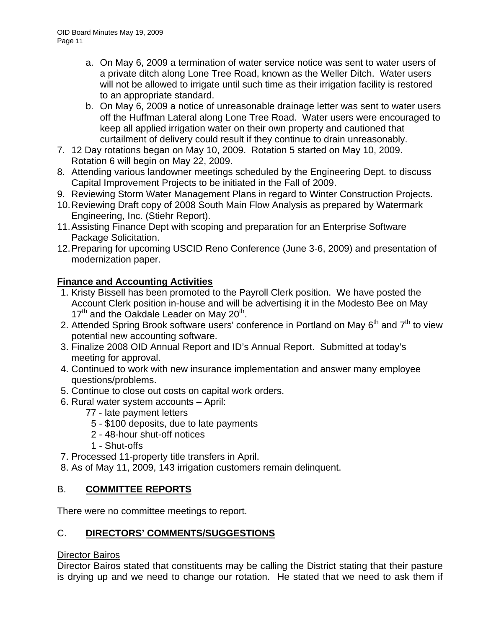- a. On May 6, 2009 a termination of water service notice was sent to water users of a private ditch along Lone Tree Road, known as the Weller Ditch. Water users will not be allowed to irrigate until such time as their irrigation facility is restored to an appropriate standard.
- b. On May 6, 2009 a notice of unreasonable drainage letter was sent to water users off the Huffman Lateral along Lone Tree Road. Water users were encouraged to keep all applied irrigation water on their own property and cautioned that curtailment of delivery could result if they continue to drain unreasonably.
- 7. 12 Day rotations began on May 10, 2009. Rotation 5 started on May 10, 2009. Rotation 6 will begin on May 22, 2009.
- 8. Attending various landowner meetings scheduled by the Engineering Dept. to discuss Capital Improvement Projects to be initiated in the Fall of 2009.
- 9. Reviewing Storm Water Management Plans in regard to Winter Construction Projects.
- 10. Reviewing Draft copy of 2008 South Main Flow Analysis as prepared by Watermark Engineering, Inc. (Stiehr Report).
- 11. Assisting Finance Dept with scoping and preparation for an Enterprise Software Package Solicitation.
- 12. Preparing for upcoming USCID Reno Conference (June 3-6, 2009) and presentation of modernization paper.

# **Finance and Accounting Activities**

- 1. Kristy Bissell has been promoted to the Payroll Clerk position. We have posted the Account Clerk position in-house and will be advertising it in the Modesto Bee on May  $17<sup>th</sup>$  and the Oakdale Leader on May 20<sup>th</sup>.
- 2. Attended Spring Brook software users' conference in Portland on May  $6<sup>th</sup>$  and  $7<sup>th</sup>$  to view potential new accounting software.
- 3. Finalize 2008 OID Annual Report and ID's Annual Report. Submitted at today's meeting for approval.
- 4. Continued to work with new insurance implementation and answer many employee questions/problems.
- 5. Continue to close out costs on capital work orders.
- 6. Rural water system accounts April:
	- 77 late payment letters
	- 5 \$100 deposits, due to late payments
	- 2 48-hour shut-off notices
	- 1 Shut-offs
- 7. Processed 11-property title transfers in April.
- 8. As of May 11, 2009, 143 irrigation customers remain delinquent.

# B. **COMMITTEE REPORTS**

There were no committee meetings to report.

# C. **DIRECTORS' COMMENTS/SUGGESTIONS**

# Director Bairos

Director Bairos stated that constituents may be calling the District stating that their pasture is drying up and we need to change our rotation. He stated that we need to ask them if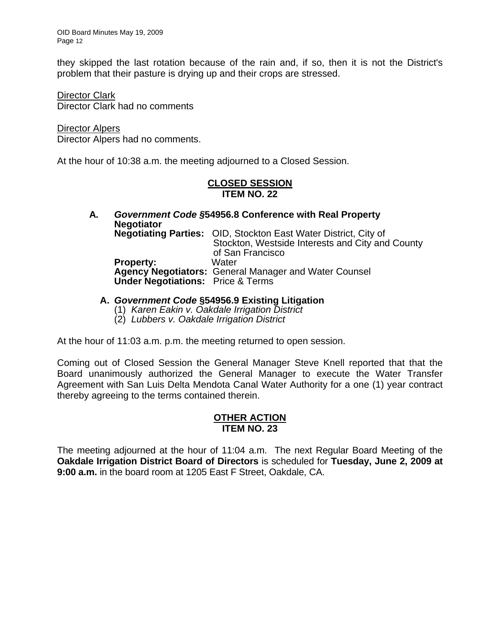they skipped the last rotation because of the rain and, if so, then it is not the District's problem that their pasture is drying up and their crops are stressed.

Director Clark Director Clark had no comments

Director Alpers Director Alpers had no comments.

At the hour of 10:38 a.m. the meeting adjourned to a Closed Session.

## **CLOSED SESSION ITEM NO. 22**

**A***. Government Code §***54956.8 Conference with Real Property Negotiator Negotiating Parties:** OID, Stockton East Water District, City of Stockton, Westside Interests and City and County of San Francisco **Property: Agency Negotiators:** General Manager and Water Counsel  **Under Negotiations:** Price & Terms

- **A.** *Government Code* **§54956.9 Existing Litigation**
	- (1) *Karen Eakin v. Oakdale Irrigation District*
	- (2) *Lubbers v. Oakdale Irrigation District*

At the hour of 11:03 a.m. p.m. the meeting returned to open session.

Coming out of Closed Session the General Manager Steve Knell reported that that the Board unanimously authorized the General Manager to execute the Water Transfer Agreement with San Luis Delta Mendota Canal Water Authority for a one (1) year contract thereby agreeing to the terms contained therein.

#### **OTHER ACTION ITEM NO. 23**

The meeting adjourned at the hour of 11:04 a.m. The next Regular Board Meeting of the **Oakdale Irrigation District Board of Directors** is scheduled for **Tuesday, June 2, 2009 at 9:00 a.m.** in the board room at 1205 East F Street, Oakdale, CA.